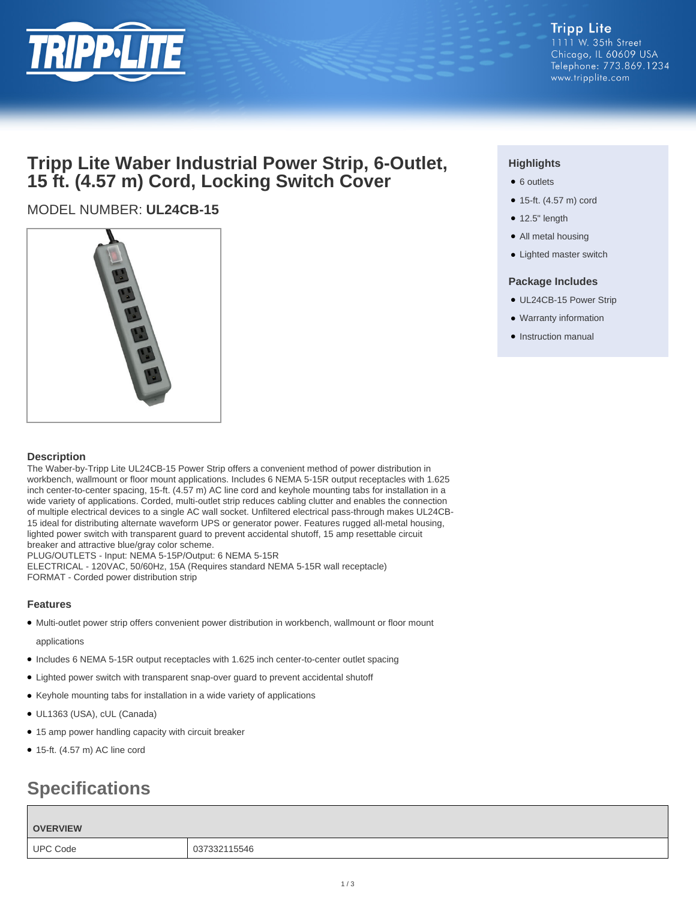

#### **Tripp Lite** 1111 W. 35th Street Chicago, IL 60609 USA Telephone: 773.869.1234 www.tripplite.com

## **Tripp Lite Waber Industrial Power Strip, 6-Outlet, 15 ft. (4.57 m) Cord, Locking Switch Cover**

### MODEL NUMBER: **UL24CB-15**



#### **Description**

The Waber-by-Tripp Lite UL24CB-15 Power Strip offers a convenient method of power distribution in workbench, wallmount or floor mount applications. Includes 6 NEMA 5-15R output receptacles with 1.625 inch center-to-center spacing, 15-ft. (4.57 m) AC line cord and keyhole mounting tabs for installation in a wide variety of applications. Corded, multi-outlet strip reduces cabling clutter and enables the connection of multiple electrical devices to a single AC wall socket. Unfiltered electrical pass-through makes UL24CB-15 ideal for distributing alternate waveform UPS or generator power. Features rugged all-metal housing, lighted power switch with transparent guard to prevent accidental shutoff, 15 amp resettable circuit breaker and attractive blue/gray color scheme.

PLUG/OUTLETS - Input: NEMA 5-15P/Output: 6 NEMA 5-15R ELECTRICAL - 120VAC, 50/60Hz, 15A (Requires standard NEMA 5-15R wall receptacle) FORMAT - Corded power distribution strip

#### **Features**

● Multi-outlet power strip offers convenient power distribution in workbench, wallmount or floor mount

#### applications

- Includes 6 NEMA 5-15R output receptacles with 1.625 inch center-to-center outlet spacing
- Lighted power switch with transparent snap-over guard to prevent accidental shutoff
- Keyhole mounting tabs for installation in a wide variety of applications
- UL1363 (USA), cUL (Canada)
- 15 amp power handling capacity with circuit breaker
- $\bullet$  15-ft. (4.57 m) AC line cord

# **Specifications**

#### **OVERVIEW**

UPC Code 2007332115546

#### **Highlights**

- 6 outlets
- 15-ft. (4.57 m) cord
- 12.5" length
- All metal housing
- Lighted master switch

#### **Package Includes**

- UL24CB-15 Power Strip
- Warranty information
- Instruction manual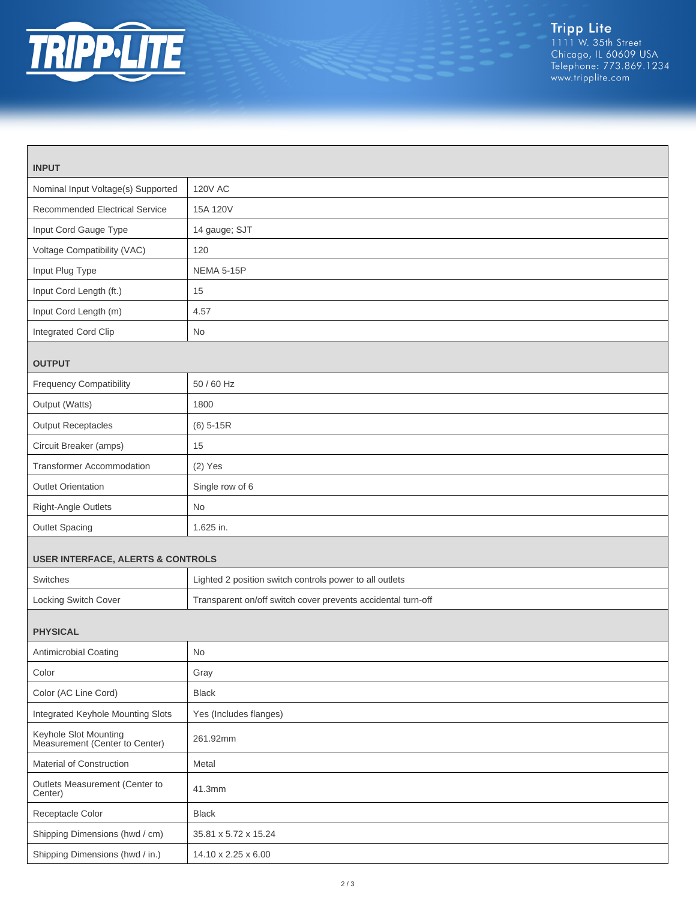

| <b>INPUT</b>                                            |                                                              |  |
|---------------------------------------------------------|--------------------------------------------------------------|--|
| Nominal Input Voltage(s) Supported                      | <b>120V AC</b>                                               |  |
| <b>Recommended Electrical Service</b>                   | 15A 120V                                                     |  |
| Input Cord Gauge Type                                   | 14 gauge; SJT                                                |  |
| Voltage Compatibility (VAC)                             | 120                                                          |  |
| Input Plug Type                                         | <b>NEMA 5-15P</b>                                            |  |
| Input Cord Length (ft.)                                 | 15                                                           |  |
| Input Cord Length (m)                                   | 4.57                                                         |  |
| Integrated Cord Clip                                    | <b>No</b>                                                    |  |
| <b>OUTPUT</b>                                           |                                                              |  |
| <b>Frequency Compatibility</b>                          | 50 / 60 Hz                                                   |  |
| Output (Watts)                                          | 1800                                                         |  |
| <b>Output Receptacles</b>                               | $(6)$ 5-15R                                                  |  |
| Circuit Breaker (amps)                                  | 15                                                           |  |
| <b>Transformer Accommodation</b>                        | $(2)$ Yes                                                    |  |
| <b>Outlet Orientation</b>                               | Single row of 6                                              |  |
| Right-Angle Outlets                                     | No                                                           |  |
| Outlet Spacing                                          | 1.625 in.                                                    |  |
| <b>USER INTERFACE, ALERTS &amp; CONTROLS</b>            |                                                              |  |
| Switches                                                | Lighted 2 position switch controls power to all outlets      |  |
| Locking Switch Cover                                    | Transparent on/off switch cover prevents accidental turn-off |  |
| <b>PHYSICAL</b>                                         |                                                              |  |
| Antimicrobial Coating                                   | No                                                           |  |
| Color                                                   | Gray                                                         |  |
| Color (AC Line Cord)                                    | <b>Black</b>                                                 |  |
| Integrated Keyhole Mounting Slots                       | Yes (Includes flanges)                                       |  |
| Keyhole Slot Mounting<br>Measurement (Center to Center) | 261.92mm                                                     |  |
| Material of Construction                                | Metal                                                        |  |
| Outlets Measurement (Center to<br>Center)               | 41.3mm                                                       |  |
| Receptacle Color                                        | <b>Black</b>                                                 |  |
| Shipping Dimensions (hwd / cm)                          | 35.81 x 5.72 x 15.24                                         |  |
| Shipping Dimensions (hwd / in.)                         | 14.10 x 2.25 x 6.00                                          |  |